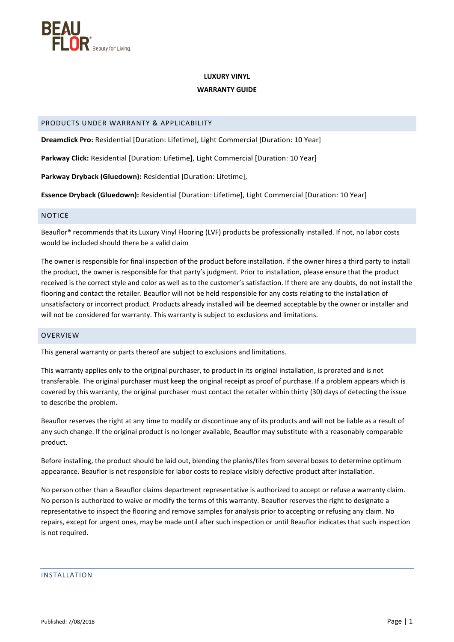

#### **LUXURY VINYL**

### **WARRANTY GUIDE**

# PRODUCTS UNDER WARRANTY & APPLICABILITY

**Dreamclick Pro:** Residential [Duration: Lifetime], Light Commercial [Duration: 10 Year]

**Parkway Click:** Residential [Duration: Lifetime], Light Commercial [Duration: 10 Year]

**Parkway Dryback (Gluedown):** Residential [Duration: Lifetime],

**Essence Dryback (Gluedown):** Residential [Duration: Lifetime], Light Commercial [Duration: 10 Year]

# NOTICE

Beauflor® recommends that its Luxury Vinyl Flooring (LVF) products be professionally installed. If not, no labor costs would be included should there be a valid claim

The owner is responsible for final inspection of the product before installation. If the owner hires a third party to install the product, the owner is responsible for that party's judgment. Prior to installation, please ensure that the product received is the correct style and color as well as to the customer's satisfaction. If there are any doubts, do not install the flooring and contact the retailer. Beauflor will not be held responsible for any costs relating to the installation of unsatisfactory or incorrect product. Products already installed will be deemed acceptable by the owner or installer and will not be considered for warranty. This warranty is subject to exclusions and limitations.

### **OVERVIEW**

This general warranty or parts thereof are subject to exclusions and limitations.

This warranty applies only to the original purchaser, to product in its original installation, is prorated and is not transferable. The original purchaser must keep the original receipt as proof of purchase. If a problem appears which is covered by this warranty, the original purchaser must contact the retailer within thirty (30) days of detecting the issue to describe the problem.

Beauflor reserves the right at any time to modify or discontinue any of its products and will not be liable as a result of any such change. If the original product is no longer available, Beauflor may substitute with a reasonably comparable product.

Before installing, the product should be laid out, blending the planks/tiles from several boxes to determine optimum appearance. Beauflor is not responsible for labor costs to replace visibly defective product after installation.

No person other than a Beauflor claims department representative is authorized to accept or refuse a warranty claim. No person is authorized to waive or modify the terms of this warranty. Beauflor reserves the right to designate a representative to inspect the flooring and remove samples for analysis prior to accepting or refusing any claim. No repairs, except for urgent ones, may be made until after such inspection or until Beauflor indicates that such inspection is not required.

INSTALLATION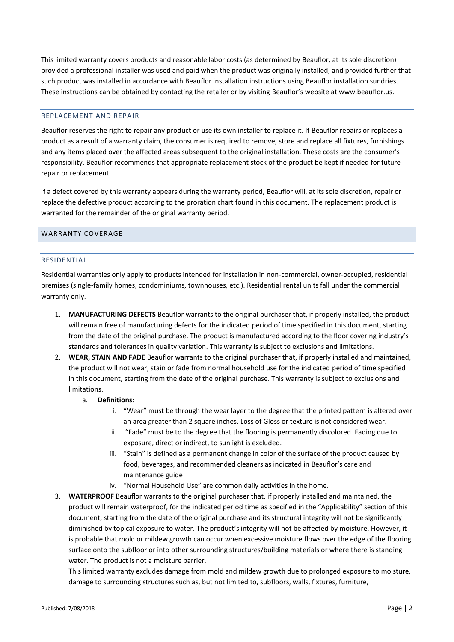This limited warranty covers products and reasonable labor costs (as determined by Beauflor, at its sole discretion) provided a professional installer was used and paid when the product was originally installed, and provided further that such product was installed in accordance with Beauflor installation instructions using Beauflor installation sundries. These instructions can be obtained by contacting the retailer or by visiting Beauflor's website at www.beauflor.us.

### REPLACEMENT AND REPAIR

Beauflor reserves the right to repair any product or use its own installer to replace it. If Beauflor repairs or replaces a product as a result of a warranty claim, the consumer is required to remove, store and replace all fixtures, furnishings and any items placed over the affected areas subsequent to the original installation. These costs are the consumer's responsibility. Beauflor recommends that appropriate replacement stock of the product be kept if needed for future repair or replacement.

If a defect covered by this warranty appears during the warranty period, Beauflor will, at its sole discretion, repair or replace the defective product according to the proration chart found in this document. The replacement product is warranted for the remainder of the original warranty period.

# WARRANTY COVERAGE

#### RESIDENTIAL

Residential warranties only apply to products intended for installation in non-commercial, owner-occupied, residential premises (single-family homes, condominiums, townhouses, etc.). Residential rental units fall under the commercial warranty only.

- 1. **MANUFACTURING DEFECTS** Beauflor warrants to the original purchaser that, if properly installed, the product will remain free of manufacturing defects for the indicated period of time specified in this document, starting from the date of the original purchase. The product is manufactured according to the floor covering industry's standards and tolerances in quality variation. This warranty is subject to exclusions and limitations.
- 2. **WEAR, STAIN AND FADE** Beauflor warrants to the original purchaser that, if properly installed and maintained, the product will not wear, stain or fade from normal household use for the indicated period of time specified in this document, starting from the date of the original purchase. This warranty is subject to exclusions and limitations.
	- a. **Definitions**:
		- i. "Wear" must be through the wear layer to the degree that the printed pattern is altered over an area greater than 2 square inches. Loss of Gloss or texture is not considered wear.
		- ii. "Fade" must be to the degree that the flooring is permanently discolored. Fading due to exposure, direct or indirect, to sunlight is excluded.
		- iii. "Stain" is defined as a permanent change in color of the surface of the product caused by food, beverages, and recommended cleaners as indicated in Beauflor's care and maintenance guide
		- iv. "Normal Household Use" are common daily activities in the home.
- 3. **WATERPROOF** Beauflor warrants to the original purchaser that, if properly installed and maintained, the product will remain waterproof, for the indicated period time as specified in the "Applicability" section of this document, starting from the date of the original purchase and its structural integrity will not be significantly diminished by topical exposure to water. The product's integrity will not be affected by moisture. However, it is probable that mold or mildew growth can occur when excessive moisture flows over the edge of the flooring surface onto the subfloor or into other surrounding structures/building materials or where there is standing water. The product is not a moisture barrier.

This limited warranty excludes damage from mold and mildew growth due to prolonged exposure to moisture, damage to surrounding structures such as, but not limited to, subfloors, walls, fixtures, furniture,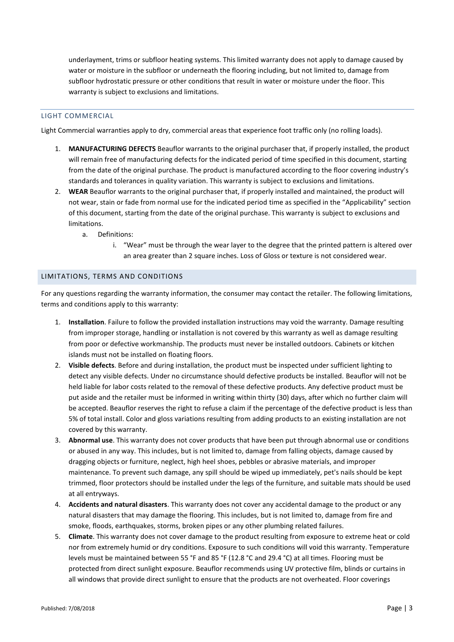underlayment, trims or subfloor heating systems. This limited warranty does not apply to damage caused by water or moisture in the subfloor or underneath the flooring including, but not limited to, damage from subfloor hydrostatic pressure or other conditions that result in water or moisture under the floor. This warranty is subject to exclusions and limitations.

# LIGHT COMMERCIAL

Light Commercial warranties apply to dry, commercial areas that experience foot traffic only (no rolling loads).

- 1. **MANUFACTURING DEFECTS** Beauflor warrants to the original purchaser that, if properly installed, the product will remain free of manufacturing defects for the indicated period of time specified in this document, starting from the date of the original purchase. The product is manufactured according to the floor covering industry's standards and tolerances in quality variation. This warranty is subject to exclusions and limitations.
- 2. **WEAR** Beauflor warrants to the original purchaser that, if properly installed and maintained, the product will not wear, stain or fade from normal use for the indicated period time as specified in the "Applicability" section of this document, starting from the date of the original purchase. This warranty is subject to exclusions and limitations.
	- a. Definitions:
		- i. "Wear" must be through the wear layer to the degree that the printed pattern is altered over an area greater than 2 square inches. Loss of Gloss or texture is not considered wear.

### LIMITATIONS, TERMS AND CONDITIONS

For any questions regarding the warranty information, the consumer may contact the retailer. The following limitations, terms and conditions apply to this warranty:

- 1. **Installation**. Failure to follow the provided installation instructions may void the warranty. Damage resulting from improper storage, handling or installation is not covered by this warranty as well as damage resulting from poor or defective workmanship. The products must never be installed outdoors. Cabinets or kitchen islands must not be installed on floating floors.
- 2. **Visible defects**. Before and during installation, the product must be inspected under sufficient lighting to detect any visible defects. Under no circumstance should defective products be installed. Beauflor will not be held liable for labor costs related to the removal of these defective products. Any defective product must be put aside and the retailer must be informed in writing within thirty (30) days, after which no further claim will be accepted. Beauflor reserves the right to refuse a claim if the percentage of the defective product is less than 5% of total install. Color and gloss variations resulting from adding products to an existing installation are not covered by this warranty.
- 3. **Abnormal use**. This warranty does not cover products that have been put through abnormal use or conditions or abused in any way. This includes, but is not limited to, damage from falling objects, damage caused by dragging objects or furniture, neglect, high heel shoes, pebbles or abrasive materials, and improper maintenance. To prevent such damage, any spill should be wiped up immediately, pet's nails should be kept trimmed, floor protectors should be installed under the legs of the furniture, and suitable mats should be used at all entryways.
- 4. **Accidents and natural disasters**. This warranty does not cover any accidental damage to the product or any natural disasters that may damage the flooring. This includes, but is not limited to, damage from fire and smoke, floods, earthquakes, storms, broken pipes or any other plumbing related failures.
- 5. **Climate**. This warranty does not cover damage to the product resulting from exposure to extreme heat or cold nor from extremely humid or dry conditions. Exposure to such conditions will void this warranty. Temperature levels must be maintained between 55 °F and 85 °F (12.8 °C and 29.4 °C) at all times. Flooring must be protected from direct sunlight exposure. Beauflor recommends using UV protective film, blinds or curtains in all windows that provide direct sunlight to ensure that the products are not overheated. Floor coverings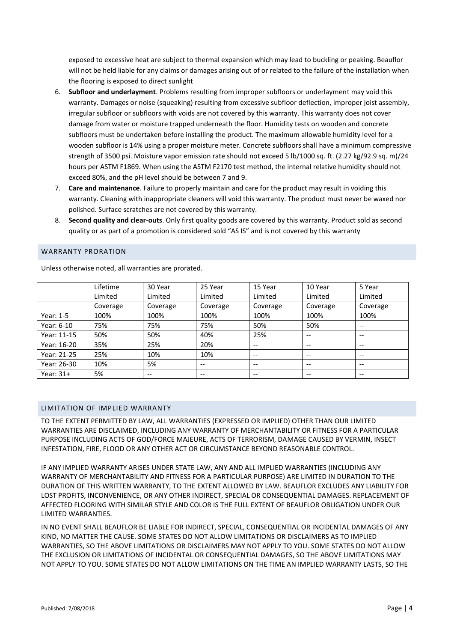exposed to excessive heat are subject to thermal expansion which may lead to buckling or peaking. Beauflor will not be held liable for any claims or damages arising out of or related to the failure of the installation when the flooring is exposed to direct sunlight

- 6. **Subfloor and underlayment**. Problems resulting from improper subfloors or underlayment may void this warranty. Damages or noise (squeaking) resulting from excessive subfloor deflection, improper joist assembly, irregular subfloor or subfloors with voids are not covered by this warranty. This warranty does not cover damage from water or moisture trapped underneath the floor. Humidity tests on wooden and concrete subfloors must be undertaken before installing the product. The maximum allowable humidity level for a wooden subfloor is 14% using a proper moisture meter. Concrete subfloors shall have a minimum compressive strength of 3500 psi. Moisture vapor emission rate should not exceed 5 lb/1000 sq. ft. (2.27 kg/92.9 sq. m)/24 hours per ASTM F1869. When using the ASTM F2170 test method, the internal relative humidity should not exceed 80%, and the pH level should be between 7 and 9.
- 7. **Care and maintenance**. Failure to properly maintain and care for the product may result in voiding this warranty. Cleaning with inappropriate cleaners will void this warranty. The product must never be waxed nor polished. Surface scratches are not covered by this warranty.
- 8. **Second quality and clear-outs**. Only first quality goods are covered by this warranty. Product sold as second quality or as part of a promotion is considered sold "AS IS" and is not covered by this warranty

#### WARRANTY PRORATION

Unless otherwise noted, all warranties are prorated.

|             | Lifetime | 30 Year  | 25 Year  | 15 Year                  | 10 Year                               | 5 Year                   |
|-------------|----------|----------|----------|--------------------------|---------------------------------------|--------------------------|
|             | Limited  | Limited  | Limited  | Limited                  | Limited                               | Limited                  |
|             | Coverage | Coverage | Coverage | Coverage                 | Coverage                              | Coverage                 |
| Year: $1-5$ | 100%     | 100%     | 100%     | 100%                     | 100%                                  | 100%                     |
| Year: 6-10  | 75%      | 75%      | 75%      | 50%                      | 50%                                   | $- -$                    |
| Year: 11-15 | 50%      | 50%      | 40%      | 25%                      | $-$                                   | $- -$                    |
| Year: 16-20 | 35%      | 25%      | 20%      | $\hspace{0.05cm} \ldots$ | $- -$                                 | $\overline{\phantom{m}}$ |
| Year: 21-25 | 25%      | 10%      | 10%      | $\hspace{0.05cm} \ldots$ | $\hspace{0.05cm}$ – $\hspace{0.05cm}$ | $- -$                    |
| Year: 26-30 | 10%      | 5%       | --       | $\hspace{0.05cm} \ldots$ | $- -$                                 | $- -$                    |
| Year: $31+$ | 5%       | $- -$    | $- -$    | $\hspace{0.05cm} \ldots$ | $- -$                                 | $\overline{\phantom{m}}$ |

#### LIMITATION OF IMPLIED WARRANTY

TO THE EXTENT PERMITTED BY LAW, ALL WARRANTIES (EXPRESSED OR IMPLIED) OTHER THAN OUR LIMITED WARRANTIES ARE DISCLAIMED, INCLUDING ANY WARRANTY OF MERCHANTABILITY OR FITNESS FOR A PARTICULAR PURPOSE INCLUDING ACTS OF GOD/FORCE MAJEURE, ACTS OF TERRORISM, DAMAGE CAUSED BY VERMIN, INSECT INFESTATION, FIRE, FLOOD OR ANY OTHER ACT OR CIRCUMSTANCE BEYOND REASONABLE CONTROL.

IF ANY IMPLIED WARRANTY ARISES UNDER STATE LAW, ANY AND ALL IMPLIED WARRANTIES (INCLUDING ANY WARRANTY OF MERCHANTABILITY AND FITNESS FOR A PARTICULAR PURPOSE) ARE LIMITED IN DURATION TO THE DURATION OF THIS WRITTEN WARRANTY, TO THE EXTENT ALLOWED BY LAW. BEAUFLOR EXCLUDES ANY LIABILITY FOR LOST PROFITS, INCONVENIENCE, OR ANY OTHER INDIRECT, SPECIAL OR CONSEQUENTIAL DAMAGES. REPLACEMENT OF AFFECTED FLOORING WITH SIMILAR STYLE AND COLOR IS THE FULL EXTENT OF BEAUFLOR OBLIGATION UNDER OUR LIMITED WARRANTIES.

IN NO EVENT SHALL BEAUFLOR BE LIABLE FOR INDIRECT, SPECIAL, CONSEQUENTIAL OR INCIDENTAL DAMAGES OF ANY KIND, NO MATTER THE CAUSE. SOME STATES DO NOT ALLOW LIMITATIONS OR DISCLAIMERS AS TO IMPLIED WARRANTIES, SO THE ABOVE LIMITATIONS OR DISCLAIMERS MAY NOT APPLY TO YOU. SOME STATES DO NOT ALLOW THE EXCLUSION OR LIMITATIONS OF INCIDENTAL OR CONSEQUENTIAL DAMAGES, SO THE ABOVE LIMITATIONS MAY NOT APPLY TO YOU. SOME STATES DO NOT ALLOW LIMITATIONS ON THE TIME AN IMPLIED WARRANTY LASTS, SO THE